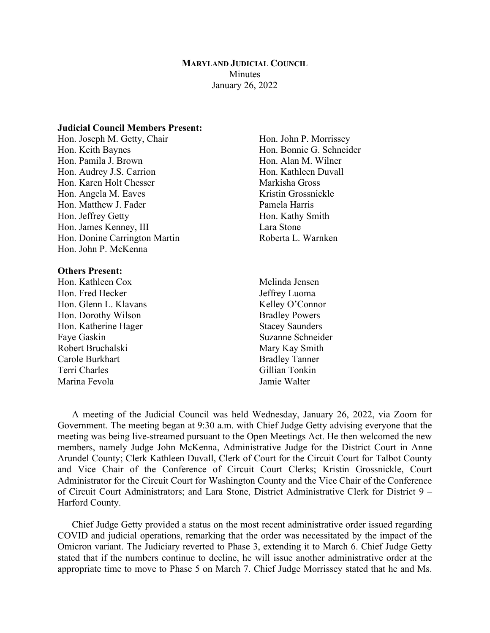### **MARYLAND JUDICIAL COUNCIL Minutes** January 26, 2022

## **Judicial Council Members Present:**

Hon. Joseph M. Getty, Chair Hon. John P. Morrissey Hon. Keith Baynes Hon. Bonnie G. Schneider Hon. Pamila J. Brown Hon. Alan M. Wilner Hon. Audrey J.S. Carrion Hon. Kathleen Duvall Hon. Karen Holt Chesser Markisha Gross Hon. Angela M. Eaves Kristin Grossnickle Hon. Matthew J. Fader Pamela Harris Hon. Jeffrey Getty **Hon. Kathy Smith** Hon. James Kenney, III Lara Stone Hon. Donine Carrington Martin Roberta L. Warnken Hon. John P. McKenna

#### **Others Present:**

- Hon. Kathleen Cox Melinda Jensen Hon. Fred Hecker Jeffrey Luoma Hon. Glenn L. Klavans Kelley O'Connor Hon. Dorothy Wilson Bradley Powers Hon. Katherine Hager Stacey Saunders Faye Gaskin Suzanne Schneider Robert Bruchalski Mary Kay Smith Carole Burkhart Bradley Tanner Terri Charles Gillian Tonkin Marina Fevola Jamie Walter
- -

A meeting of the Judicial Council was held Wednesday, January 26, 2022, via Zoom for Government. The meeting began at 9:30 a.m. with Chief Judge Getty advising everyone that the meeting was being live-streamed pursuant to the Open Meetings Act. He then welcomed the new members, namely Judge John McKenna, Administrative Judge for the District Court in Anne Arundel County; Clerk Kathleen Duvall, Clerk of Court for the Circuit Court for Talbot County and Vice Chair of the Conference of Circuit Court Clerks; Kristin Grossnickle, Court Administrator for the Circuit Court for Washington County and the Vice Chair of the Conference of Circuit Court Administrators; and Lara Stone, District Administrative Clerk for District 9 – Harford County.

Chief Judge Getty provided a status on the most recent administrative order issued regarding COVID and judicial operations, remarking that the order was necessitated by the impact of the Omicron variant. The Judiciary reverted to Phase 3, extending it to March 6. Chief Judge Getty stated that if the numbers continue to decline, he will issue another administrative order at the appropriate time to move to Phase 5 on March 7. Chief Judge Morrissey stated that he and Ms.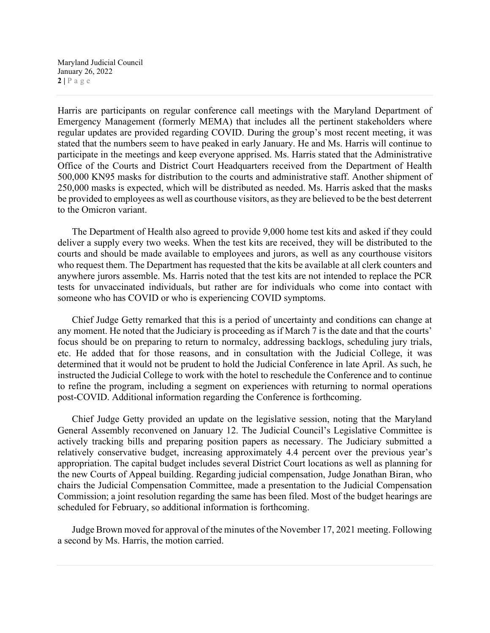Maryland Judicial Council January 26, 2022  $2 | P \text{ a } g \text{ e}$ 

Harris are participants on regular conference call meetings with the Maryland Department of Emergency Management (formerly MEMA) that includes all the pertinent stakeholders where regular updates are provided regarding COVID. During the group's most recent meeting, it was stated that the numbers seem to have peaked in early January. He and Ms. Harris will continue to participate in the meetings and keep everyone apprised. Ms. Harris stated that the Administrative Office of the Courts and District Court Headquarters received from the Department of Health 500,000 KN95 masks for distribution to the courts and administrative staff. Another shipment of 250,000 masks is expected, which will be distributed as needed. Ms. Harris asked that the masks be provided to employees as well as courthouse visitors, as they are believed to be the best deterrent to the Omicron variant.

The Department of Health also agreed to provide 9,000 home test kits and asked if they could deliver a supply every two weeks. When the test kits are received, they will be distributed to the courts and should be made available to employees and jurors, as well as any courthouse visitors who request them. The Department has requested that the kits be available at all clerk counters and anywhere jurors assemble. Ms. Harris noted that the test kits are not intended to replace the PCR tests for unvaccinated individuals, but rather are for individuals who come into contact with someone who has COVID or who is experiencing COVID symptoms.

Chief Judge Getty remarked that this is a period of uncertainty and conditions can change at any moment. He noted that the Judiciary is proceeding as if March 7 is the date and that the courts' focus should be on preparing to return to normalcy, addressing backlogs, scheduling jury trials, etc. He added that for those reasons, and in consultation with the Judicial College, it was determined that it would not be prudent to hold the Judicial Conference in late April. As such, he instructed the Judicial College to work with the hotel to reschedule the Conference and to continue to refine the program, including a segment on experiences with returning to normal operations post-COVID. Additional information regarding the Conference is forthcoming.

Chief Judge Getty provided an update on the legislative session, noting that the Maryland General Assembly reconvened on January 12. The Judicial Council's Legislative Committee is actively tracking bills and preparing position papers as necessary. The Judiciary submitted a relatively conservative budget, increasing approximately 4.4 percent over the previous year's appropriation. The capital budget includes several District Court locations as well as planning for the new Courts of Appeal building. Regarding judicial compensation, Judge Jonathan Biran, who chairs the Judicial Compensation Committee, made a presentation to the Judicial Compensation Commission; a joint resolution regarding the same has been filed. Most of the budget hearings are scheduled for February, so additional information is forthcoming.

Judge Brown moved for approval of the minutes of the November 17, 2021 meeting. Following a second by Ms. Harris, the motion carried.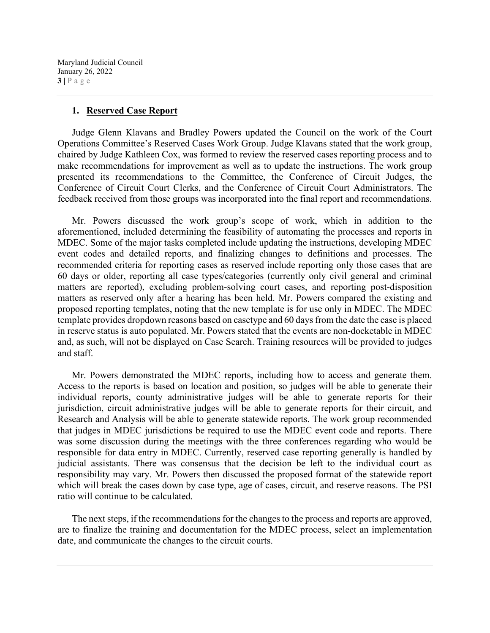Maryland Judicial Council January 26, 2022  $3 | P \text{ a } g \text{ e}$ 

### **1. Reserved Case Report**

Judge Glenn Klavans and Bradley Powers updated the Council on the work of the Court Operations Committee's Reserved Cases Work Group. Judge Klavans stated that the work group, chaired by Judge Kathleen Cox, was formed to review the reserved cases reporting process and to make recommendations for improvement as well as to update the instructions. The work group presented its recommendations to the Committee, the Conference of Circuit Judges, the Conference of Circuit Court Clerks, and the Conference of Circuit Court Administrators. The feedback received from those groups was incorporated into the final report and recommendations.

Mr. Powers discussed the work group's scope of work, which in addition to the aforementioned, included determining the feasibility of automating the processes and reports in MDEC. Some of the major tasks completed include updating the instructions, developing MDEC event codes and detailed reports, and finalizing changes to definitions and processes. The recommended criteria for reporting cases as reserved include reporting only those cases that are 60 days or older, reporting all case types/categories (currently only civil general and criminal matters are reported), excluding problem-solving court cases, and reporting post-disposition matters as reserved only after a hearing has been held. Mr. Powers compared the existing and proposed reporting templates, noting that the new template is for use only in MDEC. The MDEC template provides dropdown reasons based on casetype and 60 days from the date the case is placed in reserve status is auto populated. Mr. Powers stated that the events are non-docketable in MDEC and, as such, will not be displayed on Case Search. Training resources will be provided to judges and staff.

Mr. Powers demonstrated the MDEC reports, including how to access and generate them. Access to the reports is based on location and position, so judges will be able to generate their individual reports, county administrative judges will be able to generate reports for their jurisdiction, circuit administrative judges will be able to generate reports for their circuit, and Research and Analysis will be able to generate statewide reports. The work group recommended that judges in MDEC jurisdictions be required to use the MDEC event code and reports. There was some discussion during the meetings with the three conferences regarding who would be responsible for data entry in MDEC. Currently, reserved case reporting generally is handled by judicial assistants. There was consensus that the decision be left to the individual court as responsibility may vary. Mr. Powers then discussed the proposed format of the statewide report which will break the cases down by case type, age of cases, circuit, and reserve reasons. The PSI ratio will continue to be calculated.

The next steps, if the recommendations for the changes to the process and reports are approved, are to finalize the training and documentation for the MDEC process, select an implementation date, and communicate the changes to the circuit courts.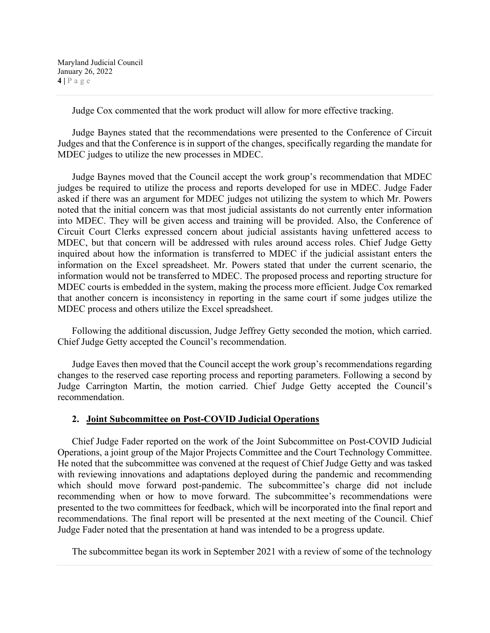Judge Cox commented that the work product will allow for more effective tracking.

Judge Baynes stated that the recommendations were presented to the Conference of Circuit Judges and that the Conference is in support of the changes, specifically regarding the mandate for MDEC judges to utilize the new processes in MDEC.

Judge Baynes moved that the Council accept the work group's recommendation that MDEC judges be required to utilize the process and reports developed for use in MDEC. Judge Fader asked if there was an argument for MDEC judges not utilizing the system to which Mr. Powers noted that the initial concern was that most judicial assistants do not currently enter information into MDEC. They will be given access and training will be provided. Also, the Conference of Circuit Court Clerks expressed concern about judicial assistants having unfettered access to MDEC, but that concern will be addressed with rules around access roles. Chief Judge Getty inquired about how the information is transferred to MDEC if the judicial assistant enters the information on the Excel spreadsheet. Mr. Powers stated that under the current scenario, the information would not be transferred to MDEC. The proposed process and reporting structure for MDEC courts is embedded in the system, making the process more efficient. Judge Cox remarked that another concern is inconsistency in reporting in the same court if some judges utilize the MDEC process and others utilize the Excel spreadsheet.

Following the additional discussion, Judge Jeffrey Getty seconded the motion, which carried. Chief Judge Getty accepted the Council's recommendation.

Judge Eaves then moved that the Council accept the work group's recommendations regarding changes to the reserved case reporting process and reporting parameters. Following a second by Judge Carrington Martin, the motion carried. Chief Judge Getty accepted the Council's recommendation.

### **2. Joint Subcommittee on Post-COVID Judicial Operations**

Chief Judge Fader reported on the work of the Joint Subcommittee on Post-COVID Judicial Operations, a joint group of the Major Projects Committee and the Court Technology Committee. He noted that the subcommittee was convened at the request of Chief Judge Getty and was tasked with reviewing innovations and adaptations deployed during the pandemic and recommending which should move forward post-pandemic. The subcommittee's charge did not include recommending when or how to move forward. The subcommittee's recommendations were presented to the two committees for feedback, which will be incorporated into the final report and recommendations. The final report will be presented at the next meeting of the Council. Chief Judge Fader noted that the presentation at hand was intended to be a progress update.

The subcommittee began its work in September 2021 with a review of some of the technology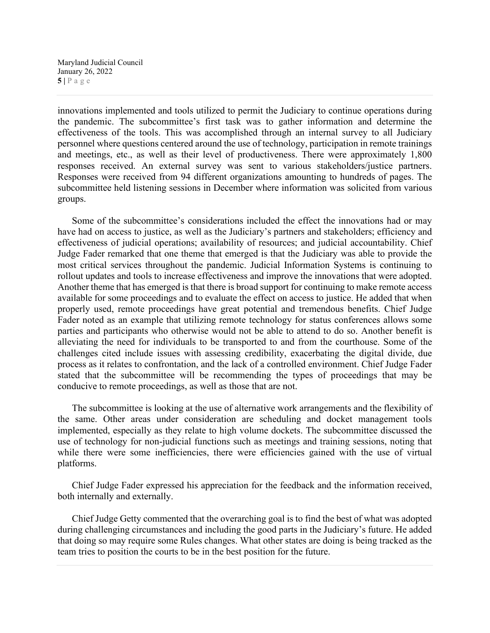Maryland Judicial Council January 26, 2022 **5 |** Page

innovations implemented and tools utilized to permit the Judiciary to continue operations during the pandemic. The subcommittee's first task was to gather information and determine the effectiveness of the tools. This was accomplished through an internal survey to all Judiciary personnel where questions centered around the use of technology, participation in remote trainings and meetings, etc., as well as their level of productiveness. There were approximately 1,800 responses received. An external survey was sent to various stakeholders/justice partners. Responses were received from 94 different organizations amounting to hundreds of pages. The subcommittee held listening sessions in December where information was solicited from various groups.

Some of the subcommittee's considerations included the effect the innovations had or may have had on access to justice, as well as the Judiciary's partners and stakeholders; efficiency and effectiveness of judicial operations; availability of resources; and judicial accountability. Chief Judge Fader remarked that one theme that emerged is that the Judiciary was able to provide the most critical services throughout the pandemic. Judicial Information Systems is continuing to rollout updates and tools to increase effectiveness and improve the innovations that were adopted. Another theme that has emerged is that there is broad support for continuing to make remote access available for some proceedings and to evaluate the effect on access to justice. He added that when properly used, remote proceedings have great potential and tremendous benefits. Chief Judge Fader noted as an example that utilizing remote technology for status conferences allows some parties and participants who otherwise would not be able to attend to do so. Another benefit is alleviating the need for individuals to be transported to and from the courthouse. Some of the challenges cited include issues with assessing credibility, exacerbating the digital divide, due process as it relates to confrontation, and the lack of a controlled environment. Chief Judge Fader stated that the subcommittee will be recommending the types of proceedings that may be conducive to remote proceedings, as well as those that are not.

The subcommittee is looking at the use of alternative work arrangements and the flexibility of the same. Other areas under consideration are scheduling and docket management tools implemented, especially as they relate to high volume dockets. The subcommittee discussed the use of technology for non-judicial functions such as meetings and training sessions, noting that while there were some inefficiencies, there were efficiencies gained with the use of virtual platforms.

Chief Judge Fader expressed his appreciation for the feedback and the information received, both internally and externally.

Chief Judge Getty commented that the overarching goal is to find the best of what was adopted during challenging circumstances and including the good parts in the Judiciary's future. He added that doing so may require some Rules changes. What other states are doing is being tracked as the team tries to position the courts to be in the best position for the future.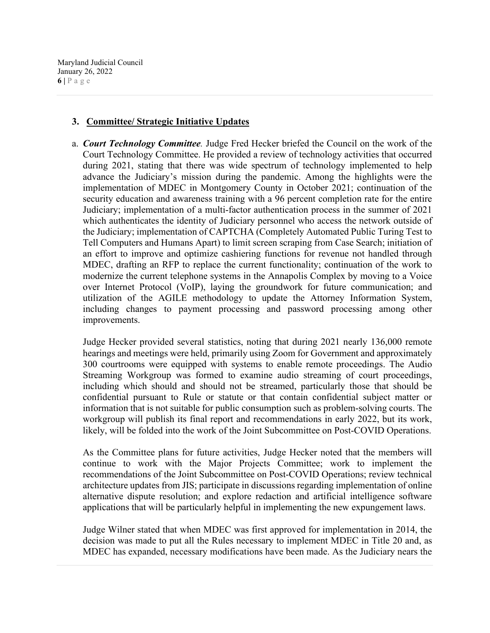Maryland Judicial Council January 26, 2022  $6$  |  $P$  a g e

## **3. Committee/ Strategic Initiative Updates**

a. *Court Technology Committee.* Judge Fred Hecker briefed the Council on the work of the Court Technology Committee. He provided a review of technology activities that occurred during 2021, stating that there was wide spectrum of technology implemented to help advance the Judiciary's mission during the pandemic. Among the highlights were the implementation of MDEC in Montgomery County in October 2021; continuation of the security education and awareness training with a 96 percent completion rate for the entire Judiciary; implementation of a multi-factor authentication process in the summer of 2021 which authenticates the identity of Judiciary personnel who access the network outside of the Judiciary; implementation of CAPTCHA (Completely Automated Public Turing Test to Tell Computers and Humans Apart) to limit screen scraping from Case Search; initiation of an effort to improve and optimize cashiering functions for revenue not handled through MDEC, drafting an RFP to replace the current functionality; continuation of the work to modernize the current telephone systems in the Annapolis Complex by moving to a Voice over Internet Protocol (VoIP), laying the groundwork for future communication; and utilization of the AGILE methodology to update the Attorney Information System, including changes to payment processing and password processing among other improvements.

Judge Hecker provided several statistics, noting that during 2021 nearly 136,000 remote hearings and meetings were held, primarily using Zoom for Government and approximately 300 courtrooms were equipped with systems to enable remote proceedings. The Audio Streaming Workgroup was formed to examine audio streaming of court proceedings, including which should and should not be streamed, particularly those that should be confidential pursuant to Rule or statute or that contain confidential subject matter or information that is not suitable for public consumption such as problem-solving courts. The workgroup will publish its final report and recommendations in early 2022, but its work, likely, will be folded into the work of the Joint Subcommittee on Post-COVID Operations.

As the Committee plans for future activities, Judge Hecker noted that the members will continue to work with the Major Projects Committee; work to implement the recommendations of the Joint Subcommittee on Post-COVID Operations; review technical architecture updates from JIS; participate in discussions regarding implementation of online alternative dispute resolution; and explore redaction and artificial intelligence software applications that will be particularly helpful in implementing the new expungement laws.

Judge Wilner stated that when MDEC was first approved for implementation in 2014, the decision was made to put all the Rules necessary to implement MDEC in Title 20 and, as MDEC has expanded, necessary modifications have been made. As the Judiciary nears the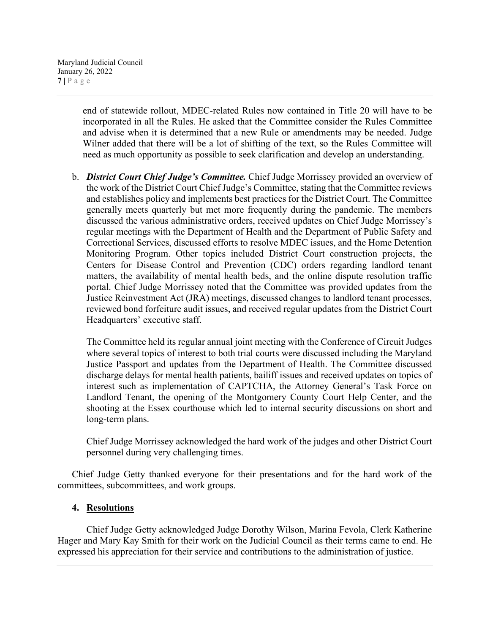end of statewide rollout, MDEC-related Rules now contained in Title 20 will have to be incorporated in all the Rules. He asked that the Committee consider the Rules Committee and advise when it is determined that a new Rule or amendments may be needed. Judge Wilner added that there will be a lot of shifting of the text, so the Rules Committee will need as much opportunity as possible to seek clarification and develop an understanding.

b. *District Court Chief Judge's Committee.* Chief Judge Morrissey provided an overview of the work of the District Court Chief Judge's Committee, stating that the Committee reviews and establishes policy and implements best practices for the District Court. The Committee generally meets quarterly but met more frequently during the pandemic. The members discussed the various administrative orders, received updates on Chief Judge Morrissey's regular meetings with the Department of Health and the Department of Public Safety and Correctional Services, discussed efforts to resolve MDEC issues, and the Home Detention Monitoring Program. Other topics included District Court construction projects, the Centers for Disease Control and Prevention (CDC) orders regarding landlord tenant matters, the availability of mental health beds, and the online dispute resolution traffic portal. Chief Judge Morrissey noted that the Committee was provided updates from the Justice Reinvestment Act (JRA) meetings, discussed changes to landlord tenant processes, reviewed bond forfeiture audit issues, and received regular updates from the District Court Headquarters' executive staff.

The Committee held its regular annual joint meeting with the Conference of Circuit Judges where several topics of interest to both trial courts were discussed including the Maryland Justice Passport and updates from the Department of Health. The Committee discussed discharge delays for mental health patients, bailiff issues and received updates on topics of interest such as implementation of CAPTCHA, the Attorney General's Task Force on Landlord Tenant, the opening of the Montgomery County Court Help Center, and the shooting at the Essex courthouse which led to internal security discussions on short and long-term plans.

Chief Judge Morrissey acknowledged the hard work of the judges and other District Court personnel during very challenging times.

Chief Judge Getty thanked everyone for their presentations and for the hard work of the committees, subcommittees, and work groups.

# **4. Resolutions**

Chief Judge Getty acknowledged Judge Dorothy Wilson, Marina Fevola, Clerk Katherine Hager and Mary Kay Smith for their work on the Judicial Council as their terms came to end. He expressed his appreciation for their service and contributions to the administration of justice.